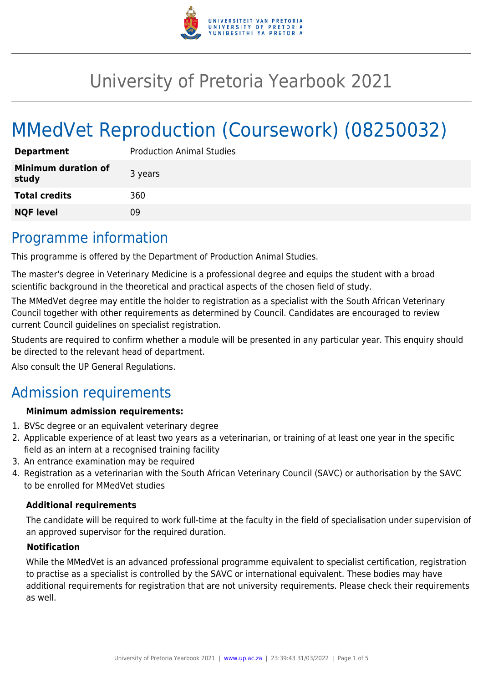

# University of Pretoria Yearbook 2021

# MMedVet Reproduction (Coursework) (08250032)

| <b>Department</b>                   | <b>Production Animal Studies</b> |
|-------------------------------------|----------------------------------|
| <b>Minimum duration of</b><br>study | 3 years                          |
| <b>Total credits</b>                | 360                              |
| <b>NQF level</b>                    | Ωd                               |

### Programme information

This programme is offered by the Department of Production Animal Studies.

The master's degree in Veterinary Medicine is a professional degree and equips the student with a broad scientific background in the theoretical and practical aspects of the chosen field of study.

The MMedVet degree may entitle the holder to registration as a specialist with the South African Veterinary Council together with other requirements as determined by Council. Candidates are encouraged to review current Council guidelines on specialist registration.

Students are required to confirm whether a module will be presented in any particular year. This enquiry should be directed to the relevant head of department.

Also consult the UP General Regulations.

### Admission requirements

### **Minimum admission requirements:**

- 1. BVSc degree or an equivalent veterinary degree
- 2. Applicable experience of at least two years as a veterinarian, or training of at least one year in the specific field as an intern at a recognised training facility
- 3. An entrance examination may be required
- 4. Registration as a veterinarian with the South African Veterinary Council (SAVC) or authorisation by the SAVC to be enrolled for MMedVet studies

### **Additional requirements**

The candidate will be required to work full-time at the faculty in the field of specialisation under supervision of an approved supervisor for the required duration.

#### **Notification**

While the MMedVet is an advanced professional programme equivalent to specialist certification, registration to practise as a specialist is controlled by the SAVC or international equivalent. These bodies may have additional requirements for registration that are not university requirements. Please check their requirements as well.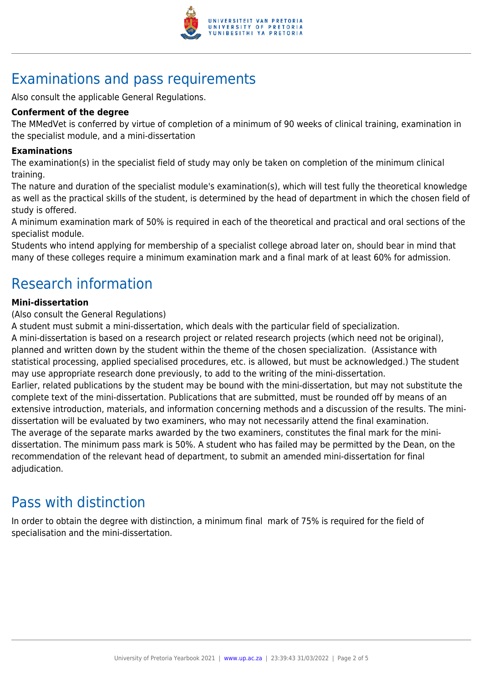

# Examinations and pass requirements

Also consult the applicable General Regulations.

#### **Conferment of the degree**

The MMedVet is conferred by virtue of completion of a minimum of 90 weeks of clinical training, examination in the specialist module, and a mini-dissertation

#### **Examinations**

The examination(s) in the specialist field of study may only be taken on completion of the minimum clinical training.

The nature and duration of the specialist module's examination(s), which will test fully the theoretical knowledge as well as the practical skills of the student, is determined by the head of department in which the chosen field of study is offered.

A minimum examination mark of 50% is required in each of the theoretical and practical and oral sections of the specialist module.

Students who intend applying for membership of a specialist college abroad later on, should bear in mind that many of these colleges require a minimum examination mark and a final mark of at least 60% for admission.

## Research information

#### **Mini-dissertation**

(Also consult the General Regulations)

A student must submit a mini-dissertation, which deals with the particular field of specialization.

A mini-dissertation is based on a research project or related research projects (which need not be original), planned and written down by the student within the theme of the chosen specialization. (Assistance with statistical processing, applied specialised procedures, etc. is allowed, but must be acknowledged.) The student may use appropriate research done previously, to add to the writing of the mini-dissertation. Earlier, related publications by the student may be bound with the mini-dissertation, but may not substitute the complete text of the mini-dissertation. Publications that are submitted, must be rounded off by means of an extensive introduction, materials, and information concerning methods and a discussion of the results. The minidissertation will be evaluated by two examiners, who may not necessarily attend the final examination. The average of the separate marks awarded by the two examiners, constitutes the final mark for the minidissertation. The minimum pass mark is 50%. A student who has failed may be permitted by the Dean, on the recommendation of the relevant head of department, to submit an amended mini-dissertation for final adjudication.

### Pass with distinction

In order to obtain the degree with distinction, a minimum final mark of 75% is required for the field of specialisation and the mini-dissertation.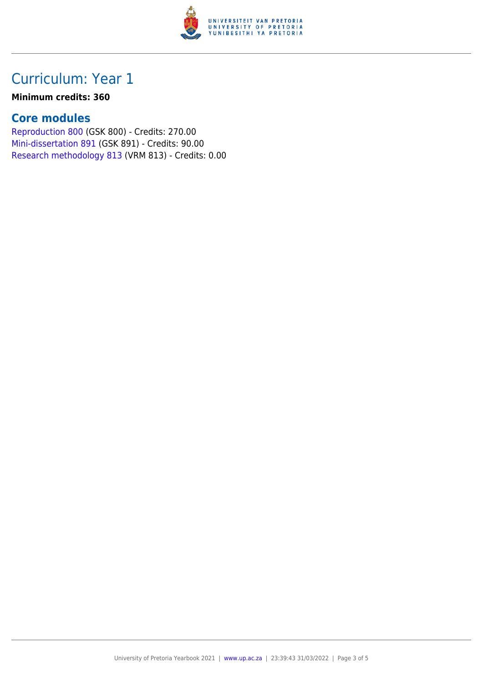

## Curriculum: Year 1

#### **Minimum credits: 360**

### **Core modules**

[Reproduction 800](https://www.up.ac.za/faculty-of-education/yearbooks/2021/modules/view/GSK 800) (GSK 800) - Credits: 270.00 [Mini-dissertation 891](https://www.up.ac.za/faculty-of-education/yearbooks/2021/modules/view/GSK 891) (GSK 891) - Credits: 90.00 [Research methodology 813](https://www.up.ac.za/faculty-of-education/yearbooks/2021/modules/view/VRM 813) (VRM 813) - Credits: 0.00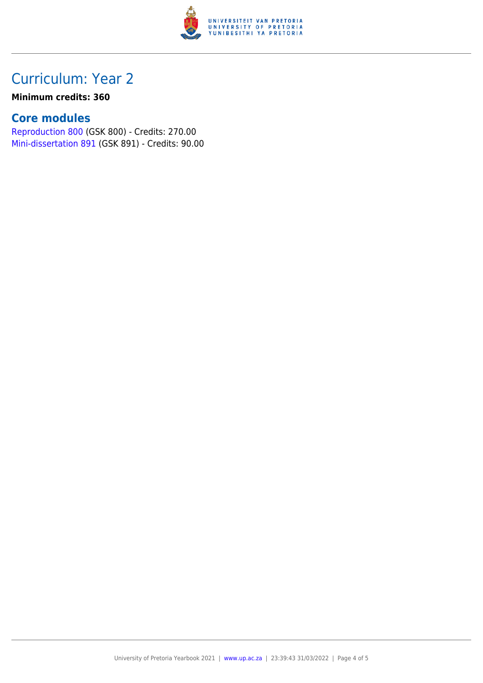

## Curriculum: Year 2

#### **Minimum credits: 360**

### **Core modules**

[Reproduction 800](https://www.up.ac.za/faculty-of-education/yearbooks/2021/modules/view/GSK 800) (GSK 800) - Credits: 270.00 [Mini-dissertation 891](https://www.up.ac.za/faculty-of-education/yearbooks/2021/modules/view/GSK 891) (GSK 891) - Credits: 90.00